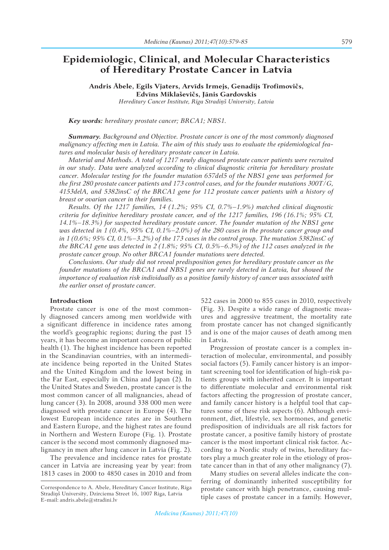# **Epidemiologic, Clinical, and Molecular Characteristics of Hereditary Prostate Cancer in Latvia**

**Andris Ābele, Egils Vjaters, Arvīds Irmejs, Genadijs Trofimovičs, Edvīns Miklaševičs, Jānis Gardovskis**

*Hereditary Cancer Institute, Rīga Stradiņš University, Latvia*

## *Key words: hereditary prostate cancer; BRCA1; NBS1.*

*Summary. Background and Objective. Prostate cancer is one of the most commonly diagnosed malignancy affecting men in Latvia. The aim of this study was to evaluate the epidemiological features and molecular basis of hereditary prostate cancer in Latvia.*

*Material and Methods. A total of 1217 newly diagnosed prostate cancer patients were recruited in our study. Data were analyzed according to clinical diagnostic criteria for hereditary prostate cancer. Molecular testing for the founder mutation 657del5 of the NBS1 gene was performed for the first 280 prostate cancer patients and 173 control cases, and for the founder mutations 300T/G, 4153delA, and 5382insC of the BRCA1 gene for 112 prostate cancer patients with a history of breast or ovarian cancer in their families.*

*Results. Of the 1217 families, 14 (1.2%; 95% CI, 0.7%–1.9%) matched clinical diagnostic criteria for definitive hereditary prostate cancer, and of the 1217 families, 196 (16.1%; 95% CI, 14.1%–18.3%) for suspected hereditary prostate cancer. The founder mutation of the NBS1 gene was detected in 1 (0.4%, 95% CI, 0.1%–2.0%) of the 280 cases in the prostate cancer group and in 1 (0.6%; 95% CI, 0.1%–3.2%) of the 173 cases in the control group. The mutation 5382insC of the BRCA1 gene was detected in 2 (1.8%; 95% CI, 0.5%–6.3%) of the 112 cases analyzed in the prostate cancer group. No other BRCA1 founder mutations were detected.*

*Conclusions. Our study did not reveal predisposition genes for hereditary prostate cancer as the founder mutations of the BRCA1 and NBS1 genes are rarely detected in Latvia, but showed the importance of evaluation risk individually as a positive family history of cancer was associated with the earlier onset of prostate cancer.* 

# **Introduction**

Prostate cancer is one of the most commonly diagnosed cancers among men worldwide with a significant difference in incidence rates among the world's geographic regions; during the past 15 years, it has become an important concern of public health (1). The highest incidence has been reported in the Scandinavian countries, with an intermediate incidence being reported in the United States and the United Kingdom and the lowest being in the Far East, especially in China and Japan (2). In the United States and Sweden, prostate cancer is the most common cancer of all malignancies, ahead of lung cancer (3). In 2008, around 338 000 men were diagnosed with prostate cancer in Europe (4). The lowest European incidence rates are in Southern and Eastern Europe, and the highest rates are found in Northern and Western Europe (Fig. 1). Prostate cancer is the second most commonly diagnosed malignancy in men after lung cancer in Latvia (Fig. 2).

The prevalence and incidence rates for prostate cancer in Latvia are increasing year by year: from 1813 cases in 2000 to 4850 cases in 2010 and from

522 cases in 2000 to 855 cases in 2010, respectively (Fig. 3). Despite a wide range of diagnostic measures and aggressive treatment, the mortality rate from prostate cancer has not changed significantly and is one of the major causes of death among men in Latvia.

Progression of prostate cancer is a complex interaction of molecular, environmental, and possibly social factors (5). Family cancer history is an important screening tool for identification of high-risk patients groups with inherited cancer. It is important to differentiate molecular and environmental risk factors affecting the progression of prostate cancer, and family cancer history is a helpful tool that captures some of these risk aspects (6). Although environment, diet, lifestyle, sex hormones, and genetic predisposition of individuals are all risk factors for prostate cancer, a positive family history of prostate cancer is the most important clinical risk factor. According to a Nordic study of twins, hereditary factors play a much greater role in the etiology of prostate cancer than in that of any other malignancy (7).

Many studies on several alleles indicate the conferring of dominantly inherited susceptibility for prostate cancer with high penetrance, causing multiple cases of prostate cancer in a family. However,

Correspondence to A. Abele, Hereditary Cancer Institute, Rīga Stradiņš University, Dzirciema Street 16, 1007 Riga, Latvia E-mail: andris.abele@stradini.lv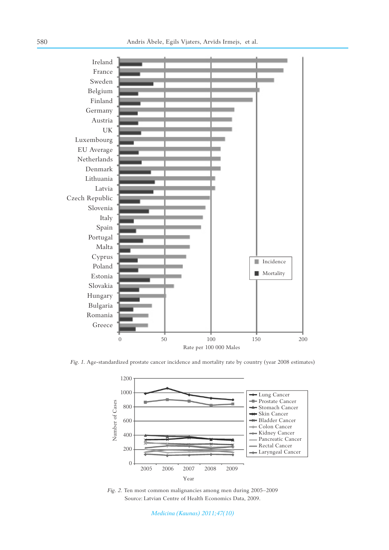

*Fig. 1.* Age-standardized prostate cancer incidence and mortality rate by country (year 2008 estimates)



*Fig. 2.* Ten most common malignancies among men during 2005–2009 Source: Latvian Centre of Health Economics Data, 2009.

*Medicina (Kaunas) 2011;47(10)*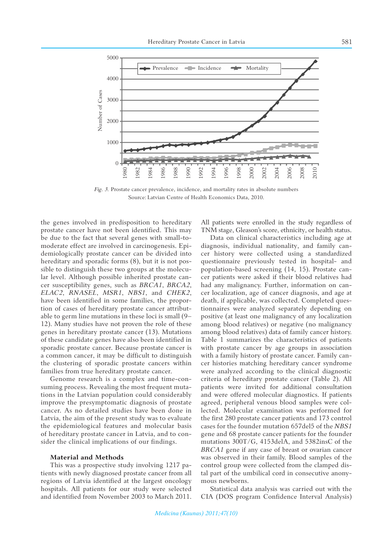

*Fig. 3.* Prostate cancer prevalence, incidence, and mortality rates in absolute numbers Source: Latvian Centre of Health Economics Data, 2010.

the genes involved in predisposition to hereditary prostate cancer have not been identified. This may be due to the fact that several genes with small-tomoderate effect are involved in carcinogenesis. Epidemiologically prostate cancer can be divided into hereditary and sporadic forms  $(8)$ , but it is not possible to distinguish these two groups at the molecular level. Although possible inherited prostate cancer susceptibility genes, such as *BRCA1*, *BRCA2*, *ELAC2*, *RNASEL*, *MSR1*, *NBS1*, and *CHEK2*, have been identified in some families, the proportion of cases of hereditary prostate cancer attributable to germ line mutations in these loci is small (9– 12). Many studies have not proven the role of these genes in hereditary prostate cancer (13). Mutations of these candidate genes have also been identified in sporadic prostate cancer. Because prostate cancer is a common cancer, it may be difficult to distinguish the clustering of sporadic prostate cancers within families from true hereditary prostate cancer.

Genome research is a complex and time-consuming process. Revealing the most frequent mutations in the Latvian population could considerably improve the presymptomatic diagnosis of prostate cancer. As no detailed studies have been done in Latvia, the aim of the present study was to evaluate the epidemiological features and molecular basis of hereditary prostate cancer in Latvia, and to consider the clinical implications of our findings.

#### **Material and Methods**

This was a prospective study involving 1217 patients with newly diagnosed prostate cancer from all regions of Latvia identified at the largest oncology hospitals. All patients for our study were selected and identified from November 2003 to March 2011. All patients were enrolled in the study regardless of TNM stage, Gleason's score, ethnicity, or health status.

Data on clinical characteristics including age at diagnosis, individual nationality, and family cancer history were collected using a standardized questionnaire previously tested in hospital- and population-based screening (14, 15). Prostate cancer patients were asked if their blood relatives had had any malignancy. Further, information on cancer localization, age of cancer diagnosis, and age at death, if applicable, was collected. Completed questionnaires were analyzed separately depending on positive (at least one malignancy of any localization among blood relatives) or negative (no malignancy among blood relatives) data of family cancer history. Table 1 summarizes the characteristics of patients with prostate cancer by age groups in association with a family history of prostate cancer. Family cancer histories matching hereditary cancer syndrome were analyzed according to the clinical diagnostic criteria of hereditary prostate cancer (Table 2). All patients were invited for additional consultation and were offered molecular diagnostics. If patients agreed, peripheral venous blood samples were collected. Molecular examination was performed for the first 280 prostate cancer patients and 173 control cases for the founder mutation 657del5 of the *NBS1*  gene and 68 prostate cancer patients for the founder mutations 300T/G, 4153delA, and 5382insC of the *BRCA1* gene if any case of breast or ovarian cancer was observed in their family. Blood samples of the control group were collected from the clamped distal part of the umbilical cord in consecutive anonymous newborns.

Statistical data analysis was carried out with the CIA (DOS program Confidence Interval Analysis)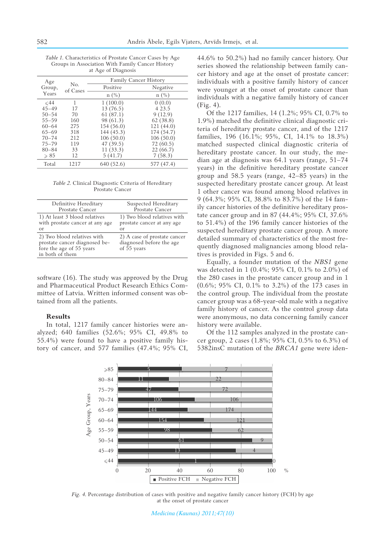*Table 1.* Characteristics of Prostate Cancer Cases by Age Groups in Association With Family Cancer History at Age of Diagnosis

| Age<br>Group,  | No.<br>of Cases | <b>Family Cancer History</b> |               |
|----------------|-----------------|------------------------------|---------------|
|                |                 | Positive                     | Negative      |
| Years          |                 | $n(^{0}_{0})$                | $n(^{0}_{0})$ |
| $\leq 44$      | 1               | 1(100.0)                     | 0(0.0)        |
| $45 - 49$      | 17              | 13 (76.5)                    | 4 2 3 .5      |
| $50 - 54$      | 70              | 61(87.1)                     | 9(12.9)       |
| $55 - 59$      | 160             | 98 (61.3)                    | 62(38.8)      |
| $60 - 64$      | 275             | 154 (56.0)                   | 121 (44.0)    |
| $65 - 69$      | 318             | 144 (45.3)                   | 174 (54.7)    |
| $70 - 74$      | 2.12            | 106(50.0)                    | 106(50.0)     |
| $75 - 79$      | 119             | 47 (39.5)                    | 72 (60.5)     |
| $80 - 84$      | 33              | 11(33.3)                     | 22 (66.7)     |
| $\geqslant 85$ | 12              | 5(41.7)                      | 7(58.3)       |
| Total          | 1217            | 640 (52.6)                   | 577 (47.4)    |

*Table 2.* Clinical Diagnostic Criteria of Hereditary Prostate Cancer

| Definitive Hereditary           | Suspected Hereditary         |
|---------------------------------|------------------------------|
| Prostate Cancer                 | Prostate Cancer              |
| 1) At least 3 blood relatives   | 1) Two blood relatives with  |
| with prostate cancer at any age | prostate cancer at any age   |
| or                              | or                           |
| 2) Two blood relatives with     | 2) A case of prostate cancer |
| prostate cancer diagnosed be-   | diagnosed before the age     |
| fore the age of 55 years        | of 55 years                  |
| in both of them                 |                              |

software (16). The study was approved by the Drug and Pharmaceutical Product Research Ethics Committee of Latvia. Written informed consent was obtained from all the patients.

### **Results**

In total, 1217 family cancer histories were analyzed; 640 families (52.6%; 95% CI, 49.8% to 55.4%) were found to have a positive family history of cancer, and 577 families (47.4%; 95% CI, 44.6% to 50.2%) had no family cancer history. Our series showed the relationship between family cancer history and age at the onset of prostate cancer: individuals with a positive family history of cancer were younger at the onset of prostate cancer than individuals with a negative family history of cancer (Fig. 4).

Of the 1217 families, 14 (1.2%; 95% CI, 0.7% to  $1.9\%$ ) matched the definitive clinical diagnostic criteria of hereditary prostate cancer, and of the 1217 families, 196 (16.1%; 95%, CI, 14.1% to 18.3%) matched suspected clinical diagnostic criteria of hereditary prostate cancer. In our study, the median age at diagnosis was 64.1 years (range, 51–74 years) in the definitive hereditary prostate cancer group and 58.5 years (range, 42–85 years) in the suspected hereditary prostate cancer group. At least 1 other cancer was found among blood relatives in 9 (64.3%; 95% CI, 38.8% to 83.7%) of the 14 family cancer histories of the definitive hereditary prostate cancer group and in 87 (44.4%; 95% CI, 37.6% to 51.4%) of the 196 family cancer histories of the suspected hereditary prostate cancer group. A more detailed summary of characteristics of the most frequently diagnosed malignancies among blood relatives is provided in Figs. 5 and 6.

Equally, a founder mutation of the *NBS1* gene was detected in 1 (0.4%; 95% CI, 0.1% to 2.0%) of the 280 cases in the prostate cancer group and in 1 (0.6%; 95% CI, 0.1% to 3.2%) of the 173 cases in the control group. The individual from the prostate cancer group was a 68-year-old male with a negative family history of cancer. As the control group data were anonymous, no data concerning family cancer history were available.

Of the 112 samples analyzed in the prostate cancer group, 2 cases (1.8%; 95% CI, 0.5% to 6.3%) of 5382insC mutation of the *BRCA1* gene were iden-



*Fig. 4.* Percentage distribution of cases with positive and negative family cancer history (FCH) by age at the onset of prostate cancer

*Medicina (Kaunas) 2011;47(10)*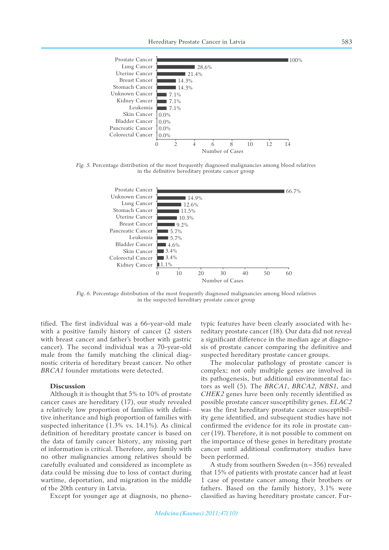

*Fig. 5.* Percentage distribution of the most frequently diagnosed malignancies among blood relatives in the definitive hereditary prostate cancer group



*Fig. 6.* Percentage distribution of the most frequently diagnosed malignancies among blood relatives in the suspected hereditary prostate cancer group

tified. The first individual was a 66-year-old male with a positive family history of cancer (2 sisters with breast cancer and father's brother with gastric cancer). The second individual was a 70-year-old male from the family matching the clinical diagnostic criteria of hereditary breast cancer. No other *BRCA1* founder mutations were detected.

#### **Discussion**

Although it is thought that 5% to 10% of prostate cancer cases are hereditary (17), our study revealed a relatively low proportion of families with definitive inheritance and high proportion of families with suspected inheritance (1.3% vs. 14.1%). As clinical definition of hereditary prostate cancer is based on the data of family cancer history, any missing part of information is critical. Therefore, any family with no other malignancies among relatives should be carefully evaluated and considered as incomplete as data could be missing due to loss of contact during wartime, deportation, and migration in the middle of the 20th century in Latvia.

Except for younger age at diagnosis, no pheno-

typic features have been clearly associated with hereditary prostate cancer (18). Our data did not reveal a significant difference in the median age at diagnosis of prostate cancer comparing the definitive and suspected hereditary prostate cancer groups.

The molecular pathology of prostate cancer is complex; not only multiple genes are involved in its pathogenesis, but additional environmental factors as well (5). The *BRCA1*, *BRCA2*, *NBS1*, and *CHEK2* genes have been only recently identified as possible prostate cancer susceptibility genes. *ELAC2* was the first hereditary prostate cancer susceptibility gene identified, and subsequent studies have not confirmed the evidence for its role in prostate cancer (19). Therefore, it is not possible to comment on the importance of these genes in hereditary prostate cancer until additional confirmatory studies have been performed.

A study from southern Sweden (n=356) revealed that 15% of patients with prostate cancer had at least 1 case of prostate cancer among their brothers or fathers. Based on the family history, 3.1% were classified as having hereditary prostate cancer. Fur-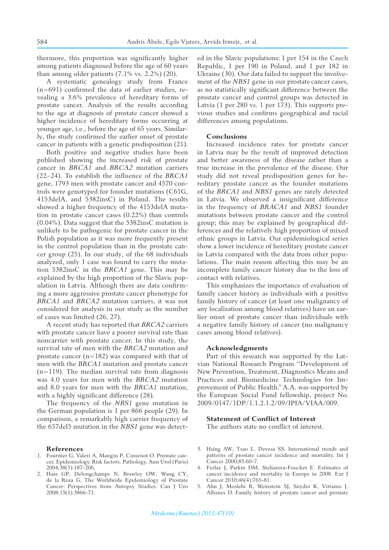thermore, this proportion was significantly higher among patients diagnosed before the age of 60 years than among older patients  $(7.1\% \text{ vs. } 2.2\%)$   $(20)$ .

A systematic genealogy study from France  $(n=691)$  confirmed the data of earlier studies, revealing a 3.6% prevalence of hereditary forms of prostate cancer*.* Analysis of the results according to the age at diagnosis of prostate cancer showed a higher incidence of hereditary forms occurring at younger age, i.e., before the age of 65 years. Similarly, the study confirmed the earlier onset of prostate cancer in patients with a genetic predisposition (21).

Both positive and negative studies have been published showing the increased risk of prostate cancer in *BRCA1* and *BRCA2* mutation carriers  $(22-24)$ . To establish the influence of the *BRCA1* gene, 1793 men with prostate cancer and 4570 controls were genotyped for founder mutations (C61G, 4153delA, and 5382insC) in Poland. The results showed a higher frequency of the 4153delA mutation in prostate cancer cases (0.22%) than controls (0.04%). Data suggest that the 5382insC mutation is unlikely to be pathogenic for prostate cancer in the Polish population as it was more frequently present in the control population than in the prostate cancer group (25). In our study, of the 68 individuals analyzed, only 1 case was found to carry the mutation 5382insC in the *BRCA1* gene. This may be explained by the high proportion of the Slavic population in Latvia. Although there are data confirming a more aggressive prostate cancer phenotype for *BRCA1* and *BRCA2* mutation carriers, it was not considered for analysis in our study as the number of cases was limited (26, 27).

A recent study has reported that *BRCA2* carriers with prostate cancer have a poorer survival rate than noncarrier with prostate cancer. In this study, the survival rate of men with the *BRCA2* mutation and prostate cancer (n=182) was compared with that of men with the *BRCA1* mutation and prostate cancer  $(n=119)$ . The median survival rate from diagnosis was 4.0 years for men with the *BRCA2* mutation and 8.0 years for men with the *BRCA1* mutation, with a highly significant difference  $(28)$ .

The frequency of the *NBS1* gene mutation in the German population is 1 per 866 people (29). In comparison, a remarkably high carrier frequency of the 657del5 mutation in the *NBS1* gene was detect-

#### **References**

- 1. Fournier G, Valeri A, Mangin P, Cussenot O. Prostate cancer. Epidemiology. Risk factors. Pathology. Ann Urol (Paris) 2004;38(5):187-206.
- 2. Haas GP, Delongchamps N, Brawley OW, Wang CY, de la Roza G. The Worldwide Epidemiology of Prostate Cancer: Perspectives from Autopsy Studies. Can J Uro 2008:15(1):3866-71.

ed in the Slavic populations: 1 per 154 in the Czech Republic, 1 per 190 in Poland, and 1 per 182 in Ukraine (30). Our data failed to support the involvement of the *NBS1* gene in our prostate cancer cases, as no statistically significant difference between the prostate cancer and control groups was detected in Latvia (1 per 280 vs. 1 per 173). This supports previous studies and confirms geographical and racial differences among populations.

### **Conclusions**

Increased incidence rates for prostate cancer in Latvia may be the result of improved detection and better awareness of the disease rather than a true increase in the prevalence of the disease. Our study did not reveal predisposition genes for hereditary prostate cancer as the founder mutations of the *BRCA1* and *NBS1* genes are rarely detected in Latvia. We observed a insignificant difference in the frequency of *BRACA1* and *NBS1* founder mutations between prostate cancer and the control group; this may be explained by geographical differences and the relatively high proportion of mixed ethnic groups in Latvia. Our epidemiological series show a lower incidence of hereditary prostate cancer in Latvia compared with the data from other populations. The main reason affecting this may be an incomplete family cancer history due to the loss of contact with relatives.

This emphasizes the importance of evaluation of family cancer history as individuals with a positive family history of cancer (at least one malignancy of any localization among blood relatives) have an earlier onset of prostate cancer than individuals with a negative family history of cancer (no malignancy cases among blood relatives).

#### **Acknowledgments**

Part of this research was supported by the Latvian National Research Program "Development of New Prevention, Treatment, Diagnostics Means and Practices and Biomedicine Technologies for Improvement of Public Health." A.A. was supported by the European Social Fund fellowship, project No. 2009/0147/1DP/1.1.2.1.2/09/IPIA/VIAA/009.

# **Statement of Conflict of Interest**

The authors state no conflict of interest.

- 3. Hsing AW, Tsao L, Devesa SS. International trends and patterns of prostate cancer incidence and mortality. Int J Cancer 2000;85:60-7.
- 4. Ferlay J, Parkin DM, Steliarova-Foucher E. Estimates of cancer incidence and mortality in Europe in 2008. Eur J Cancer 2010;46(4):765-81.
- 5. Ahn J, Moslehi R, Weinstein SJ, Snyder K, Virtamo J, Albanes D. Family history of prostate cancer and prostate